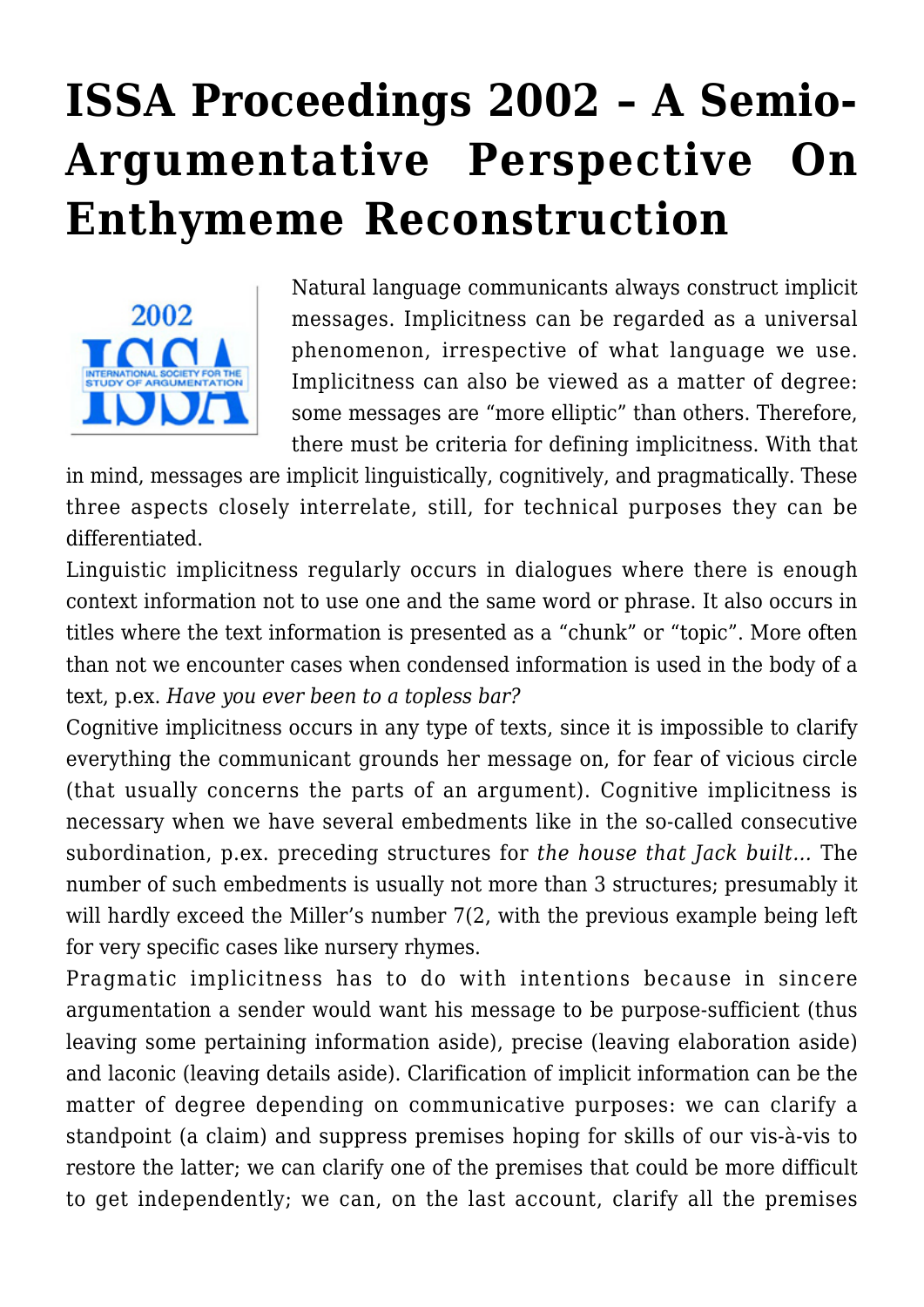## **[ISSA Proceedings 2002 – A Semio-](https://rozenbergquarterly.com/issa-proceedings-2002-a-semio-argumentative-perspective-on-enthymeme-reconstruction/)[Argumentative Perspective On](https://rozenbergquarterly.com/issa-proceedings-2002-a-semio-argumentative-perspective-on-enthymeme-reconstruction/) [Enthymeme Reconstruction](https://rozenbergquarterly.com/issa-proceedings-2002-a-semio-argumentative-perspective-on-enthymeme-reconstruction/)**



Natural language communicants always construct implicit messages. Implicitness can be regarded as a universal phenomenon, irrespective of what language we use. Implicitness can also be viewed as a matter of degree: some messages are "more elliptic" than others. Therefore, there must be criteria for defining implicitness. With that

in mind, messages are implicit linguistically, cognitively, and pragmatically. These three aspects closely interrelate, still, for technical purposes they can be differentiated.

Linguistic implicitness regularly occurs in dialogues where there is enough context information not to use one and the same word or phrase. It also occurs in titles where the text information is presented as a "chunk" or "topic". More often than not we encounter cases when condensed information is used in the body of a text, p.ex. *Have you ever been to a topless bar?*

Cognitive implicitness occurs in any type of texts, since it is impossible to clarify everything the communicant grounds her message on, for fear of vicious circle (that usually concerns the parts of an argument). Cognitive implicitness is necessary when we have several embedments like in the so-called consecutive subordination, p.ex. preceding structures for *the house that Jack built…* The number of such embedments is usually not more than 3 structures; presumably it will hardly exceed the Miller's number 7(2, with the previous example being left for very specific cases like nursery rhymes.

Pragmatic implicitness has to do with intentions because in sincere argumentation a sender would want his message to be purpose-sufficient (thus leaving some pertaining information aside), precise (leaving elaboration aside) and laconic (leaving details aside). Clarification of implicit information can be the matter of degree depending on communicative purposes: we can clarify a standpoint (a claim) and suppress premises hoping for skills of our vis-à-vis to restore the latter; we can clarify one of the premises that could be more difficult to get independently; we can, on the last account, clarify all the premises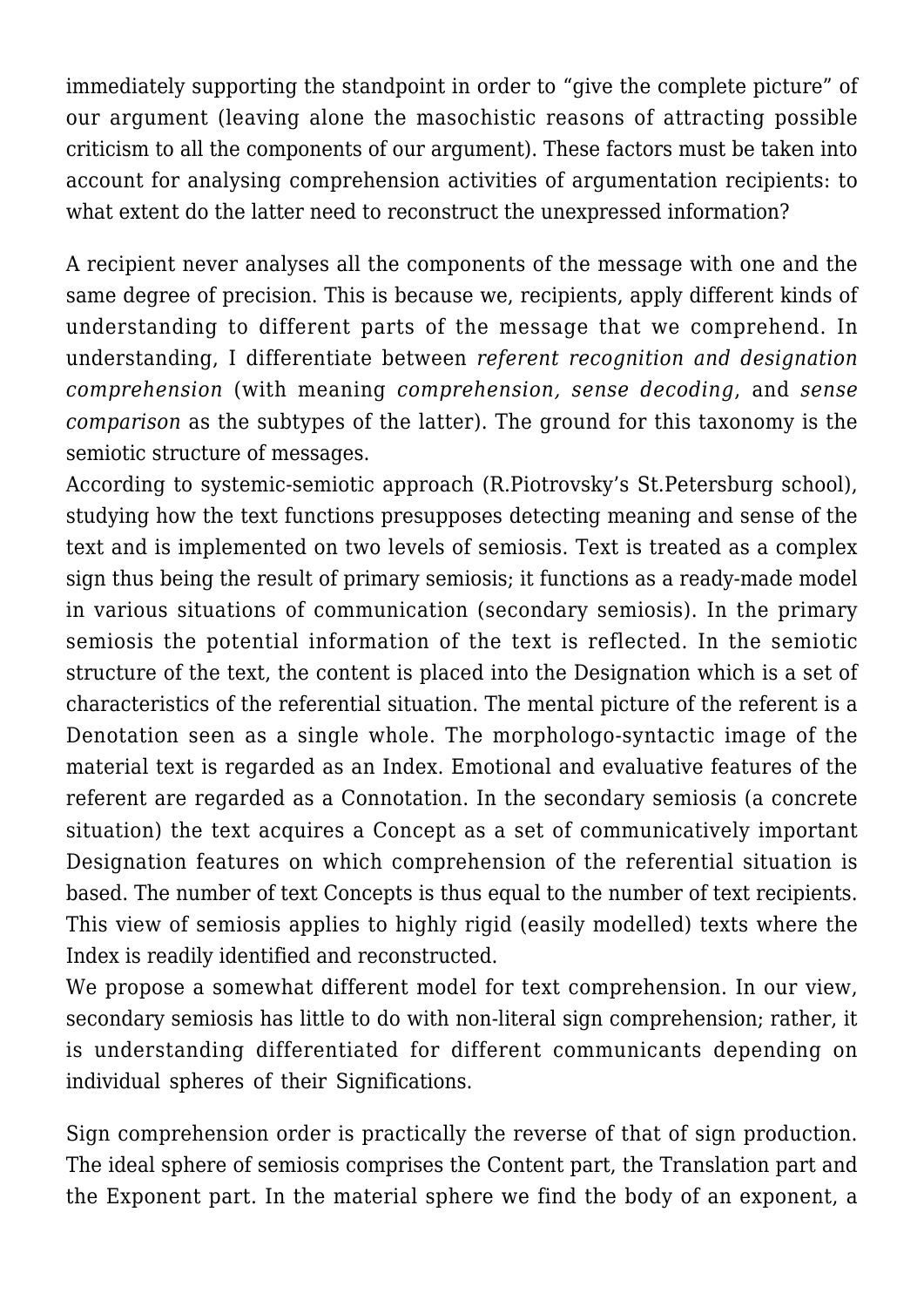immediately supporting the standpoint in order to "give the complete picture" of our argument (leaving alone the masochistic reasons of attracting possible criticism to all the components of our argument). These factors must be taken into account for analysing comprehension activities of argumentation recipients: to what extent do the latter need to reconstruct the unexpressed information?

A recipient never analyses all the components of the message with one and the same degree of precision. This is because we, recipients, apply different kinds of understanding to different parts of the message that we comprehend. In understanding, I differentiate between *referent recognition and designation comprehension* (with meaning *comprehension, sense decoding*, and *sense comparison* as the subtypes of the latter). The ground for this taxonomy is the semiotic structure of messages.

According to systemic-semiotic approach (R.Piotrovsky's St.Petersburg school), studying how the text functions presupposes detecting meaning and sense of the text and is implemented on two levels of semiosis. Text is treated as a complex sign thus being the result of primary semiosis; it functions as a ready-made model in various situations of communication (secondary semiosis). In the primary semiosis the potential information of the text is reflected. In the semiotic structure of the text, the content is placed into the Designation which is a set of characteristics of the referential situation. The mental picture of the referent is a Denotation seen as a single whole. The morphologo-syntactic image of the material text is regarded as an Index. Emotional and evaluative features of the referent are regarded as a Connotation. In the secondary semiosis (a concrete situation) the text acquires a Concept as a set of communicatively important Designation features on which comprehension of the referential situation is based. The number of text Concepts is thus equal to the number of text recipients. This view of semiosis applies to highly rigid (easily modelled) texts where the Index is readily identified and reconstructed.

We propose a somewhat different model for text comprehension. In our view, secondary semiosis has little to do with non-literal sign comprehension; rather, it is understanding differentiated for different communicants depending on individual spheres of their Significations.

Sign comprehension order is practically the reverse of that of sign production. The ideal sphere of semiosis comprises the Content part, the Translation part and the Exponent part. In the material sphere we find the body of an exponent, a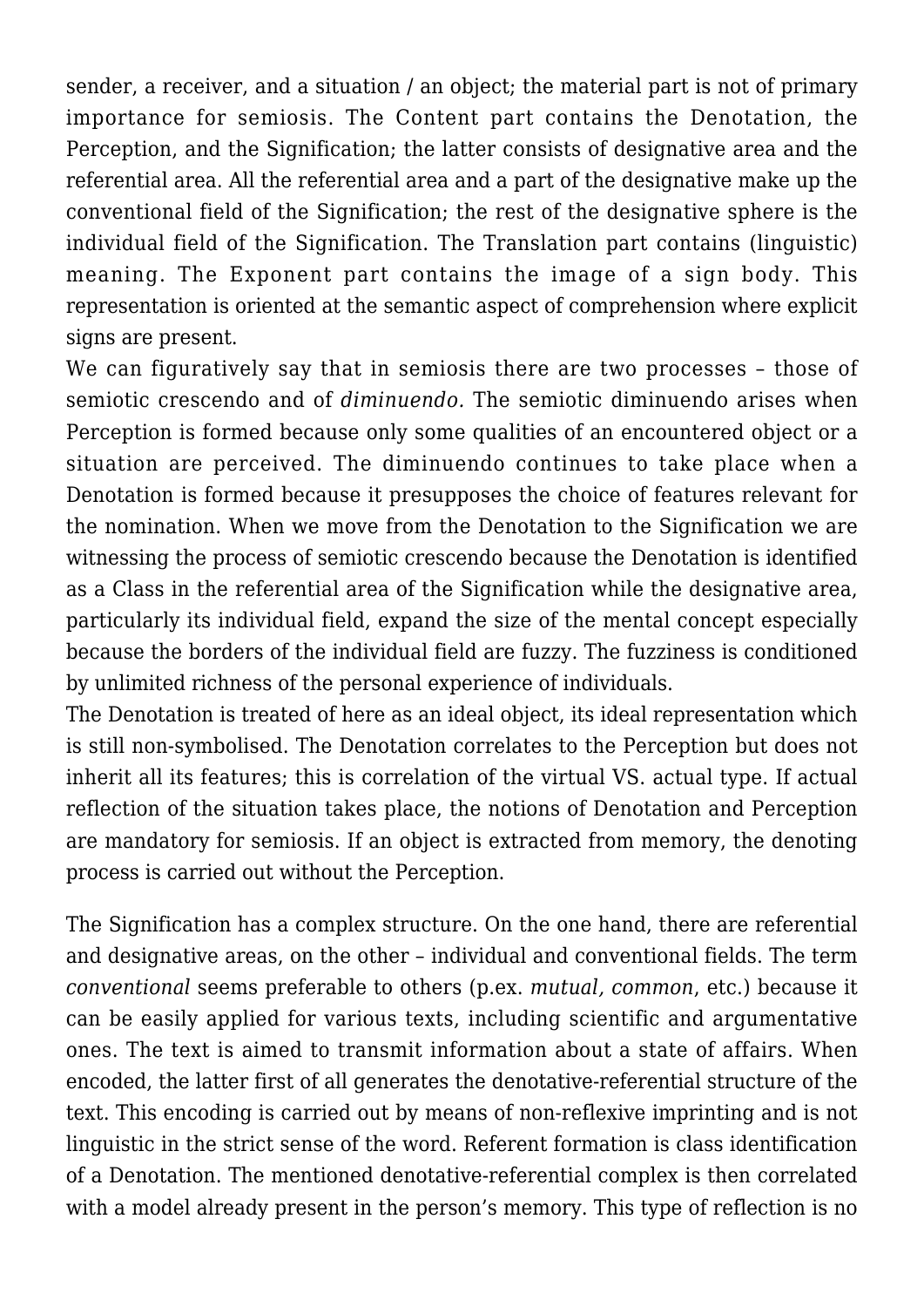sender, a receiver, and a situation / an object; the material part is not of primary importance for semiosis. The Content part contains the Denotation, the Perception, and the Signification; the latter consists of designative area and the referential area. All the referential area and a part of the designative make up the conventional field of the Signification; the rest of the designative sphere is the individual field of the Signification. The Translation part contains (linguistic) meaning. The Exponent part contains the image of a sign body. This representation is oriented at the semantic aspect of comprehension where explicit signs are present.

We can figuratively say that in semiosis there are two processes - those of semiotic crescendo and of *diminuendo.* The semiotic diminuendo arises when Perception is formed because only some qualities of an encountered object or a situation are perceived. The diminuendo continues to take place when a Denotation is formed because it presupposes the choice of features relevant for the nomination. When we move from the Denotation to the Signification we are witnessing the process of semiotic crescendo because the Denotation is identified as a Class in the referential area of the Signification while the designative area, particularly its individual field, expand the size of the mental concept especially because the borders of the individual field are fuzzy. The fuzziness is conditioned by unlimited richness of the personal experience of individuals.

The Denotation is treated of here as an ideal object, its ideal representation which is still non-symbolised. The Denotation correlates to the Perception but does not inherit all its features; this is correlation of the virtual VS. actual type. If actual reflection of the situation takes place, the notions of Denotation and Perception are mandatory for semiosis. If an object is extracted from memory, the denoting process is carried out without the Perception.

The Signification has a complex structure. On the one hand, there are referential and designative areas, on the other – individual and conventional fields. The term *conventional* seems preferable to others (p.ex. *mutual, common*, etc.) because it can be easily applied for various texts, including scientific and argumentative ones. The text is aimed to transmit information about a state of affairs. When encoded, the latter first of all generates the denotative-referential structure of the text. This encoding is carried out by means of non-reflexive imprinting and is not linguistic in the strict sense of the word. Referent formation is class identification of a Denotation. The mentioned denotative-referential complex is then correlated with a model already present in the person's memory. This type of reflection is no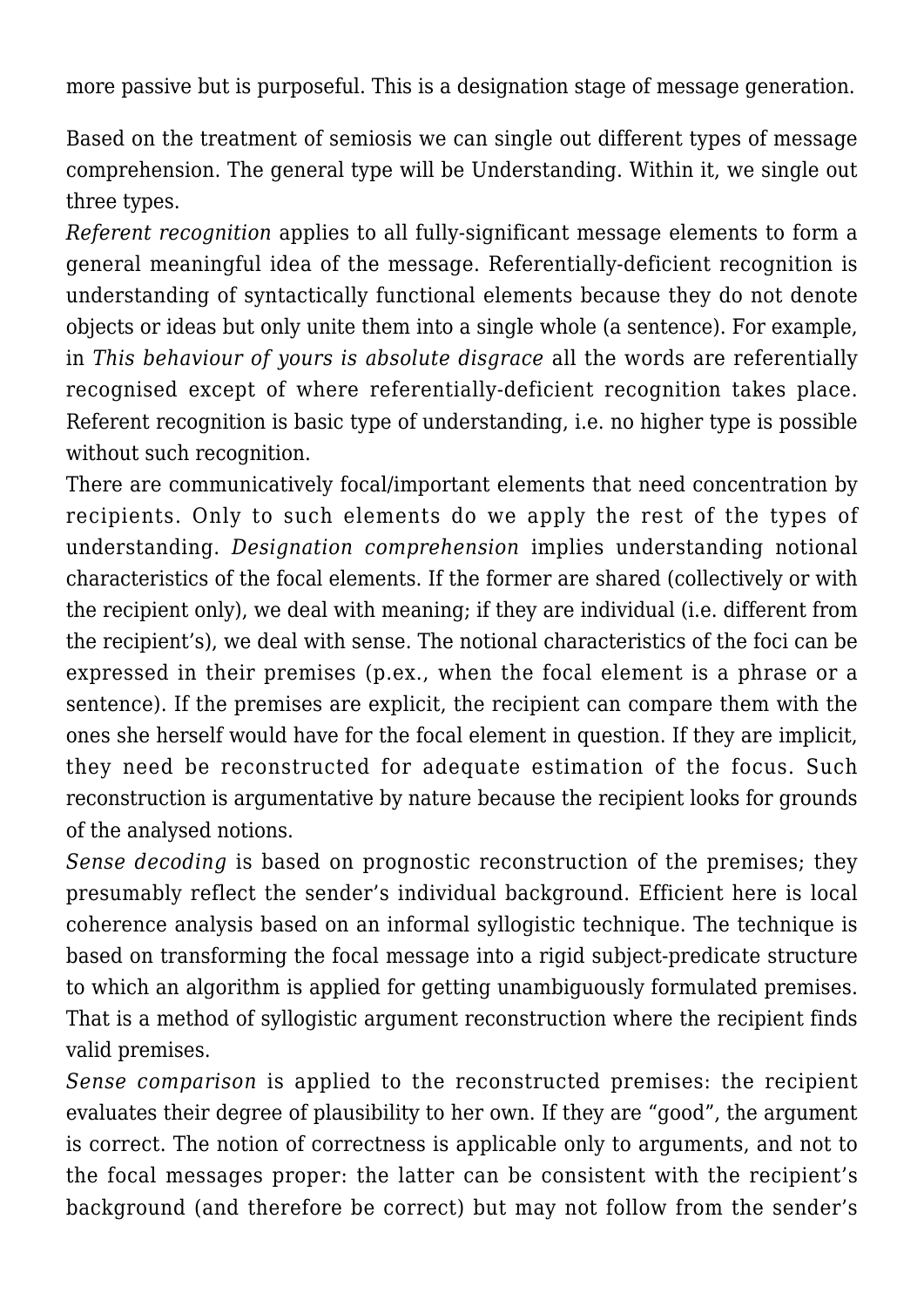more passive but is purposeful. This is a designation stage of message generation.

Based on the treatment of semiosis we can single out different types of message comprehension. The general type will be Understanding. Within it, we single out three types.

*Referent recognition* applies to all fully-significant message elements to form a general meaningful idea of the message. Referentially-deficient recognition is understanding of syntactically functional elements because they do not denote objects or ideas but only unite them into a single whole (a sentence). For example, in *This behaviour of yours is absolute disgrace* all the words are referentially recognised except of where referentially-deficient recognition takes place. Referent recognition is basic type of understanding, i.e. no higher type is possible without such recognition.

There are communicatively focal/important elements that need concentration by recipients. Only to such elements do we apply the rest of the types of understanding. *Designation comprehension* implies understanding notional characteristics of the focal elements. If the former are shared (collectively or with the recipient only), we deal with meaning; if they are individual (i.e. different from the recipient's), we deal with sense. The notional characteristics of the foci can be expressed in their premises (p.ex., when the focal element is a phrase or a sentence). If the premises are explicit, the recipient can compare them with the ones she herself would have for the focal element in question. If they are implicit, they need be reconstructed for adequate estimation of the focus. Such reconstruction is argumentative by nature because the recipient looks for grounds of the analysed notions.

*Sense decoding* is based on prognostic reconstruction of the premises; they presumably reflect the sender's individual background. Efficient here is local coherence analysis based on an informal syllogistic technique. The technique is based on transforming the focal message into a rigid subject-predicate structure to which an algorithm is applied for getting unambiguously formulated premises. That is a method of syllogistic argument reconstruction where the recipient finds valid premises.

*Sense comparison* is applied to the reconstructed premises: the recipient evaluates their degree of plausibility to her own. If they are "good", the argument is correct. The notion of correctness is applicable only to arguments, and not to the focal messages proper: the latter can be consistent with the recipient's background (and therefore be correct) but may not follow from the sender's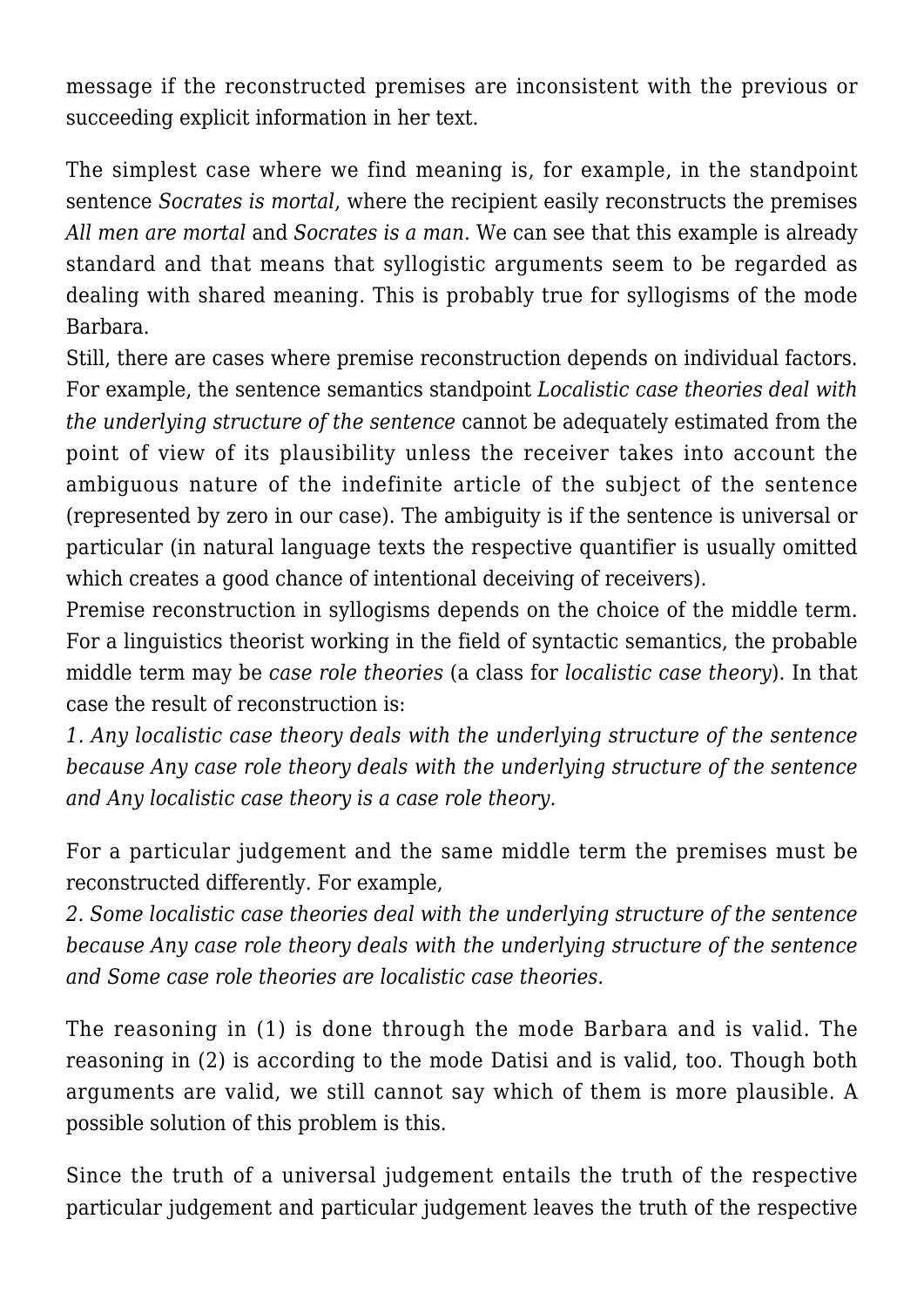message if the reconstructed premises are inconsistent with the previous or succeeding explicit information in her text.

The simplest case where we find meaning is, for example, in the standpoint sentence *Socrates is mortal*, where the recipient easily reconstructs the premises *All men are mortal* and *Socrates is a man*. We can see that this example is already standard and that means that syllogistic arguments seem to be regarded as dealing with shared meaning. This is probably true for syllogisms of the mode Barbara.

Still, there are cases where premise reconstruction depends on individual factors. For example, the sentence semantics standpoint *Localistic case theories deal with the underlying structure of the sentence* cannot be adequately estimated from the point of view of its plausibility unless the receiver takes into account the ambiguous nature of the indefinite article of the subject of the sentence (represented by zero in our case). The ambiguity is if the sentence is universal or particular (in natural language texts the respective quantifier is usually omitted which creates a good chance of intentional deceiving of receivers).

Premise reconstruction in syllogisms depends on the choice of the middle term. For a linguistics theorist working in the field of syntactic semantics, the probable middle term may be *case role theories* (a class for *localistic case theory*). In that case the result of reconstruction is:

*1. Any localistic case theory deals with the underlying structure of the sentence because Any case role theory deals with the underlying structure of the sentence and Any localistic case theory is a case role theory.*

For a particular judgement and the same middle term the premises must be reconstructed differently. For example,

*2. Some localistic case theories deal with the underlying structure of the sentence because Any case role theory deals with the underlying structure of the sentence and Some case role theories are localistic case theories.*

The reasoning in (1) is done through the mode Barbara and is valid. The reasoning in (2) is according to the mode Datisi and is valid, too. Though both arguments are valid, we still cannot say which of them is more plausible. A possible solution of this problem is this.

Since the truth of a universal judgement entails the truth of the respective particular judgement and particular judgement leaves the truth of the respective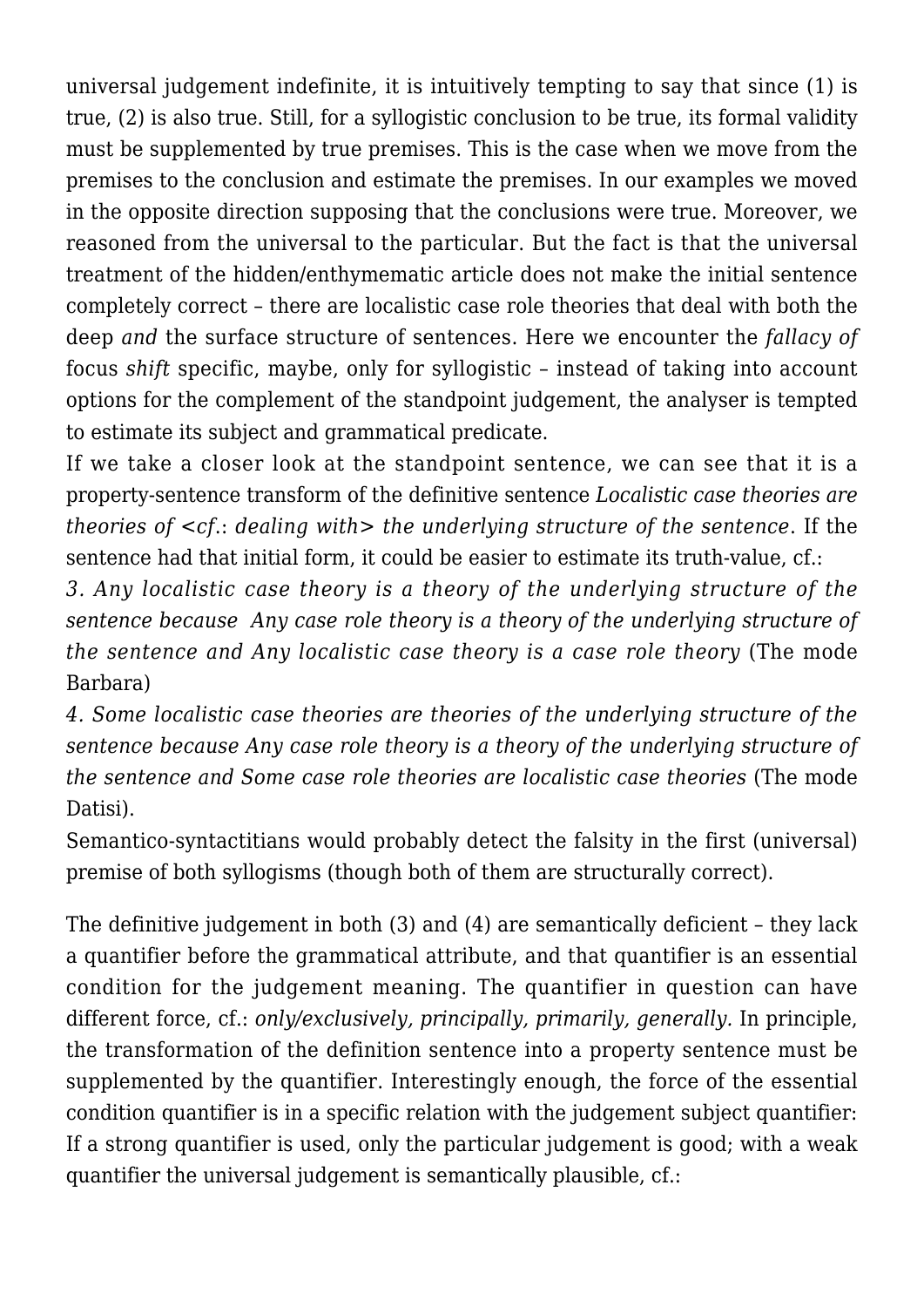universal judgement indefinite, it is intuitively tempting to say that since (1) is true, (2) is also true. Still, for a syllogistic conclusion to be true, its formal validity must be supplemented by true premises. This is the case when we move from the premises to the conclusion and estimate the premises. In our examples we moved in the opposite direction supposing that the conclusions were true. Moreover, we reasoned from the universal to the particular. But the fact is that the universal treatment of the hidden/enthymematic article does not make the initial sentence completely correct – there are localistic case role theories that deal with both the deep *and* the surface structure of sentences. Here we encounter the *fallacy of* focus *shift* specific, maybe, only for syllogistic – instead of taking into account options for the complement of the standpoint judgement, the analyser is tempted to estimate its subject and grammatical predicate.

If we take a closer look at the standpoint sentence, we can see that it is a property-sentence transform of the definitive sentence *Localistic case theories are theories of <cf*.: *dealing with> the underlying structure of the sentence*. If the sentence had that initial form, it could be easier to estimate its truth-value, cf.:

*3. Any localistic case theory is a theory of the underlying structure of the sentence because Any case role theory is a theory of the underlying structure of the sentence and Any localistic case theory is a case role theory* (The mode Barbara)

*4. Some localistic case theories are theories of the underlying structure of the sentence because Any case role theory is a theory of the underlying structure of the sentence and Some case role theories are localistic case theories* (The mode Datisi).

Semantico-syntactitians would probably detect the falsity in the first (universal) premise of both syllogisms (though both of them are structurally correct).

The definitive judgement in both (3) and (4) are semantically deficient – they lack a quantifier before the grammatical attribute, and that quantifier is an essential condition for the judgement meaning. The quantifier in question can have different force, cf.: *only/exclusively, principally, primarily, generally.* In principle, the transformation of the definition sentence into a property sentence must be supplemented by the quantifier. Interestingly enough, the force of the essential condition quantifier is in a specific relation with the judgement subject quantifier: If a strong quantifier is used, only the particular judgement is good; with a weak quantifier the universal judgement is semantically plausible, cf.: